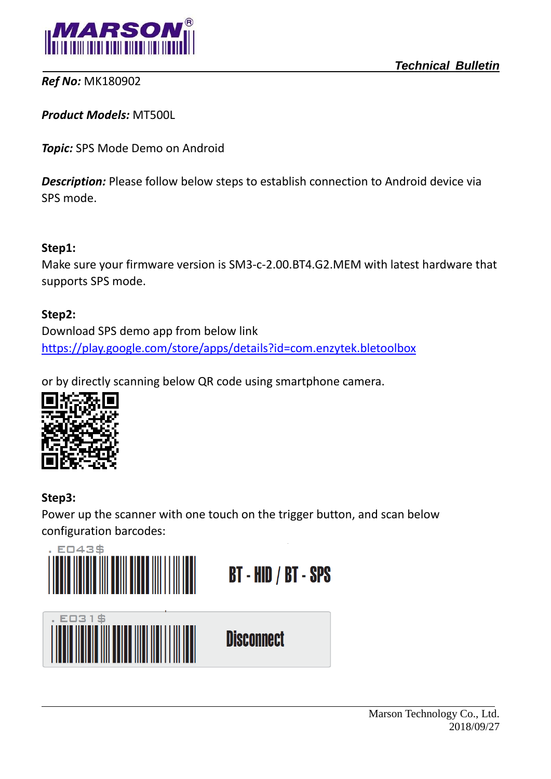

 *Technical Bulletin*

*Ref No:* MK180902

*Product Models:* MT500L

*Topic:* SPS Mode Demo on Android

**Description:** Please follow below steps to establish connection to Android device via SPS mode.

#### **Step1:**

Make sure your firmware version is SM3-c-2.00.BT4.G2.MEM with latest hardware that supports SPS mode.

#### **Step2:**

Download SPS demo app from below link <https://play.google.com/store/apps/details?id=com.enzytek.bletoolbox>

or by directly scanning below QR code using smartphone camera.



### **Step3:**

 $\overline{a}$ 

Power up the scanner with one touch on the trigger button, and scan below configuration barcodes:

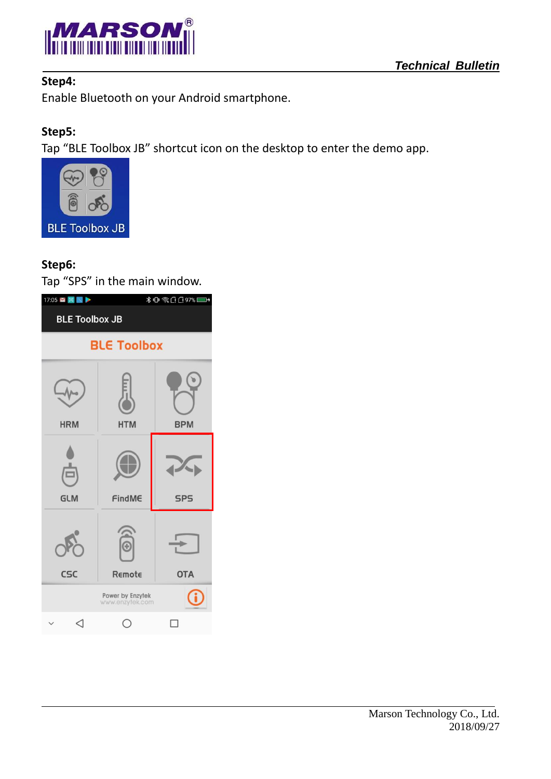

## **Step4:**

## **Step5:**

Tap "BLE Toolbox JB" shortcut icon on the desktop to enter the demo app.



## **Step6:**

 $\overline{a}$ 

Tap "SPS" in the main window.

| 17:05 图 图 图<br>∦ ❶ 《 □ □ 97%■ |                                     |            |  |  |
|-------------------------------|-------------------------------------|------------|--|--|
| <b>BLE Toolbox JB</b>         |                                     |            |  |  |
| <b>BLE Toolbox</b>            |                                     |            |  |  |
| <b>HRM</b>                    | <b>HTM</b>                          | <b>BPM</b> |  |  |
| <b>GLM</b>                    | FindME                              | <b>SPS</b> |  |  |
| CSC                           | G<br>Remote                         | <b>OTA</b> |  |  |
|                               | Power by Enzytek<br>www.enzytek.com |            |  |  |
| ◁                             |                                     | п          |  |  |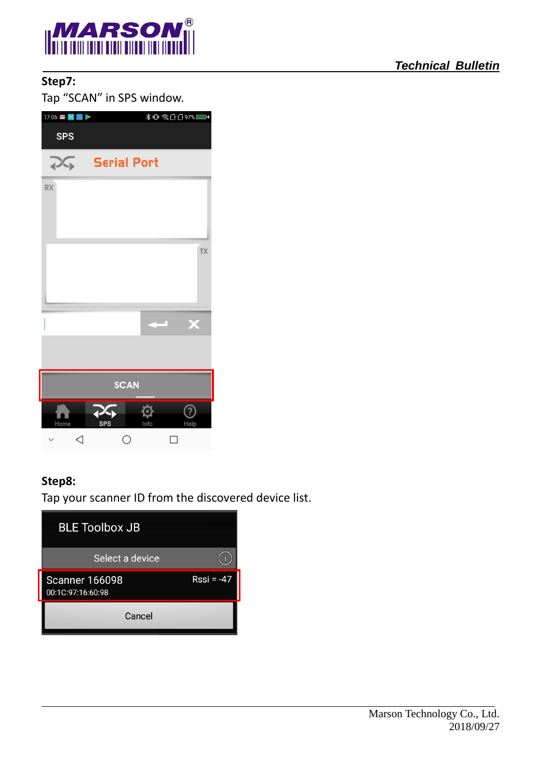

# **Step7:**

Tap "SCAN" in SPS window.

| 17:06 图 图           |                                     |
|---------------------|-------------------------------------|
| <b>SPS</b>          |                                     |
| $\sum_{\mathbf{F}}$ | <b>Serial Port</b>                  |
| <b>RX</b>           |                                     |
|                     |                                     |
|                     | <b>TX</b>                           |
|                     |                                     |
|                     |                                     |
|                     | X                                   |
|                     |                                     |
|                     |                                     |
|                     | <b>SCAN</b>                         |
| Home                | 75<br>Q<br>2<br>SPS<br>Info<br>Help |
| ◁                   | О<br>$\overline{\phantom{a}}$       |

### **Step8:**

 $\overline{a}$ 

Tap your scanner ID from the discovered device list.

| <b>BLE Toolbox JB</b>                      |              |
|--------------------------------------------|--------------|
| Select a device                            |              |
| <b>Scanner 166098</b><br>00:1C:97:16:60:98 | $Rssi = -47$ |
| Cancel                                     |              |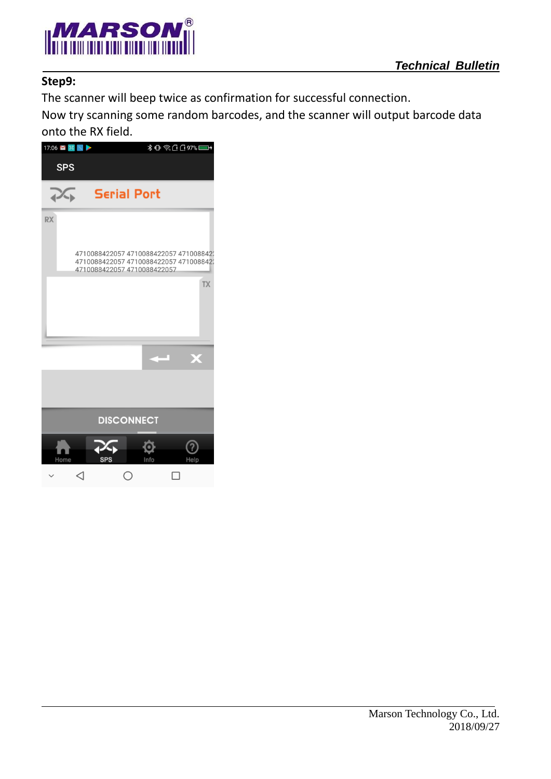



### **Step9:**

 $\overline{a}$ 

The scanner will beep twice as confirmation for successful connection.

Now try scanning some random barcodes, and the scanner will output barcode data onto the RX field.

| 17:06 ■ 国 图 ▶  |                                                                                                                |                    |      | ٦.        |
|----------------|----------------------------------------------------------------------------------------------------------------|--------------------|------|-----------|
| <b>SPS</b>     |                                                                                                                |                    |      |           |
| 1 <sup>3</sup> |                                                                                                                | <b>Serial Port</b> |      |           |
| <b>RX</b>      |                                                                                                                |                    |      |           |
|                | 4710088422057 4710088422057 471008842<br>4710088422057 4710088422057 4710088422<br>4710088422057 4710088422057 |                    |      |           |
|                |                                                                                                                |                    |      | <b>TX</b> |
|                |                                                                                                                |                    |      |           |
|                |                                                                                                                |                    |      | Х         |
|                |                                                                                                                |                    |      |           |
|                |                                                                                                                | <b>DISCONNECT</b>  |      |           |
|                |                                                                                                                |                    |      |           |
| Home           | <b>SPS</b>                                                                                                     |                    | Info | Help      |
|                |                                                                                                                | T,                 |      |           |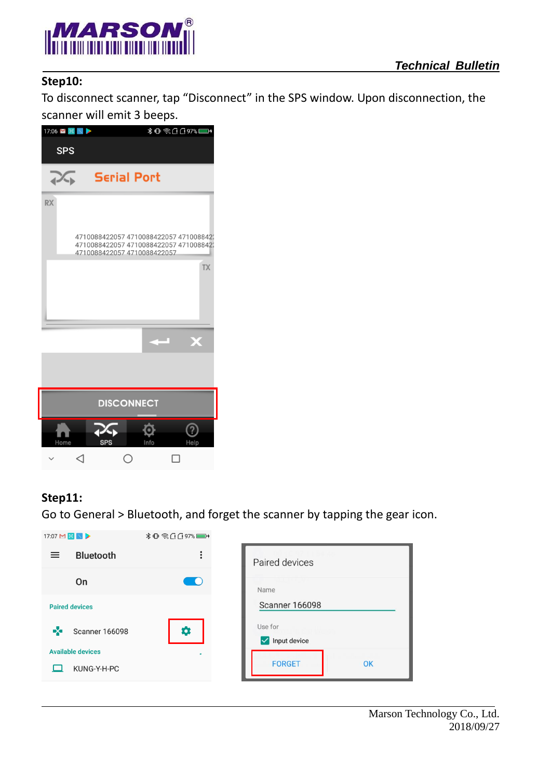

## **Step10:**

To disconnect scanner, tap "Disconnect" in the SPS window. Upon disconnection, the scanner will emit 3 beeps.

| 17:06 图 图 图                                      | —                                                                                |
|--------------------------------------------------|----------------------------------------------------------------------------------|
| <b>SPS</b>                                       |                                                                                  |
| <b>Serial Port</b><br>$\mathcal{L}_{\mathbf{b}}$ |                                                                                  |
| <b>RX</b>                                        |                                                                                  |
| 4710088422057 4710088422057                      | 4710088422057 4710088422057 4710088422<br>4710088422057 4710088422057 4710088422 |
|                                                  | <b>TX</b>                                                                        |
|                                                  |                                                                                  |
|                                                  | X                                                                                |
|                                                  |                                                                                  |
| <b>DISCONNECT</b>                                |                                                                                  |
| <b>SPS</b><br>Home                               | Info<br>Help                                                                     |
| Ξ<br>CΙ                                          |                                                                                  |

#### **Step11:**

 $\overline{a}$ 

Go to General > Bluetooth, and forget the scanner by tapping the gear icon.

| 17:07 M B N >                | <b>*□ 《□□97%■+</b> |                                         |
|------------------------------|--------------------|-----------------------------------------|
| <b>Bluetooth</b><br>$\equiv$ | $\vdots$           | Paired devices                          |
| On                           |                    | Name                                    |
| <b>Paired devices</b>        |                    | <b>Scanner 166098</b>                   |
| ∝<br><b>Scanner 166098</b>   | o                  | Use for<br>Input device<br>$\checkmark$ |
| <b>Available devices</b>     |                    |                                         |
| KUNG-Y-H-PC                  |                    | <b>FORGET</b><br>OK                     |